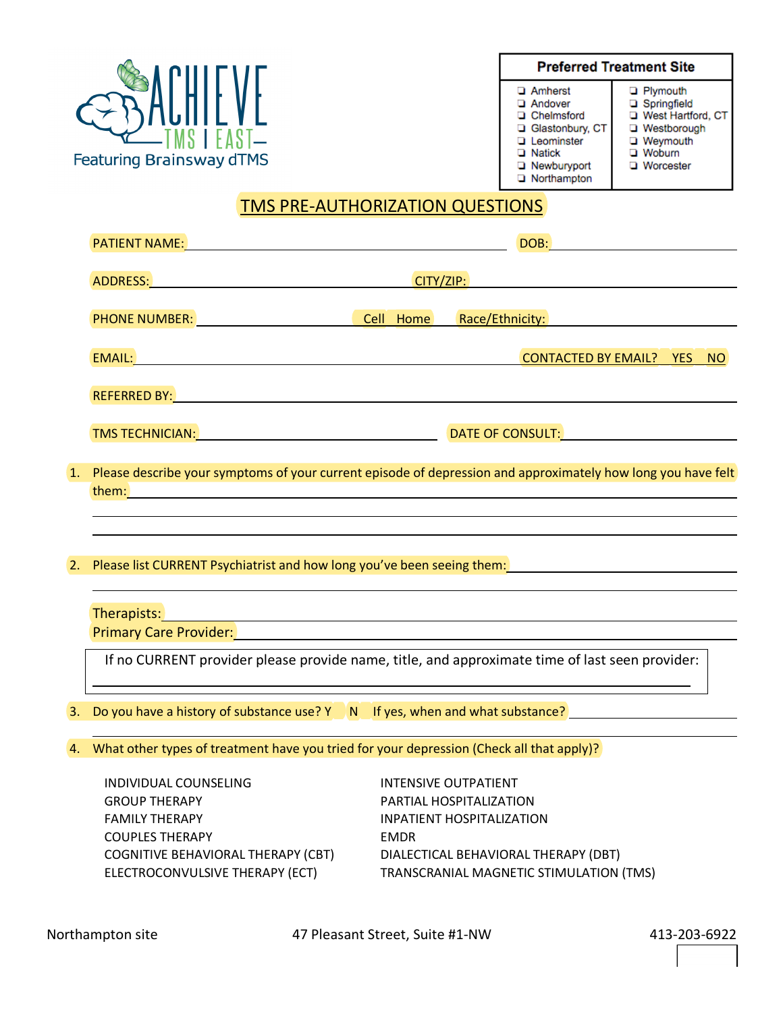

**Preferred Treatment Site** 

- **Q** Amherst
- Andover
- **Q** Chelmsford Glastonbury, CT
- Leominster

Weymouth **U** Woburn

**D** Plymouth

□ Springfield<br>□ West Hartford, CT

□ Westborough

**U** Worcester

Rewburyport Northampton

**D** Natick

### TMS PRE-AUTHORIZATION QUESTIONS

|                  | PATIENT NAME: NAME: NAME: NAME AND A SERIES AND A SERIES OF THE SERIES AND A SERIES OF THE SERIES OF THE SERIES                                                                         |             |                                                                                                                                                                                                                                      |  |
|------------------|-----------------------------------------------------------------------------------------------------------------------------------------------------------------------------------------|-------------|--------------------------------------------------------------------------------------------------------------------------------------------------------------------------------------------------------------------------------------|--|
|                  |                                                                                                                                                                                         |             |                                                                                                                                                                                                                                      |  |
|                  |                                                                                                                                                                                         |             | PHONE NUMBER: No. 2012 19:30 No. 2013 19:30 No. 2014 19:30 No. 2014 19:30 No. 2014 19:30 No. 2014 19:30 No. 20                                                                                                                       |  |
|                  |                                                                                                                                                                                         |             | CONTACTED BY EMAIL? YES NO                                                                                                                                                                                                           |  |
|                  |                                                                                                                                                                                         |             |                                                                                                                                                                                                                                      |  |
|                  | TMS TECHNICIAN: TECHNICIAN: TECHNICIAN: DATE OF CONSULT:                                                                                                                                |             |                                                                                                                                                                                                                                      |  |
|                  | 1. Please describe your symptoms of your current episode of depression and approximately how long you have felt                                                                         |             |                                                                                                                                                                                                                                      |  |
|                  |                                                                                                                                                                                         |             | <u>and the control of the control of the control of the control of the control of the control of the control of the control of the control of the control of the control of the control of the control of the control of the con</u> |  |
|                  |                                                                                                                                                                                         |             | ,我们也不会有什么。""我们的人,我们也不会有什么?""我们的人,我们也不会有什么?""我们的人,我们也不会有什么?""我们的人,我们也不会有什么?""我们的人                                                                                                                                                     |  |
| $\overline{2}$ . | Please list CURRENT Psychiatrist and how long you've been seeing them:<br>Notice in them: Note in the contract the contract of the contract of the contract of the contract of the cont |             |                                                                                                                                                                                                                                      |  |
|                  |                                                                                                                                                                                         |             | Therapists: and the contract of the contract of the contract of the contract of the contract of the contract of the contract of the contract of the contract of the contract of the contract of the contract of the contract o       |  |
|                  | Primary Care Provider: 2008 Contract Department of Primary Care Provider:                                                                                                               |             |                                                                                                                                                                                                                                      |  |
|                  |                                                                                                                                                                                         |             | If no CURRENT provider please provide name, title, and approximate time of last seen provider:                                                                                                                                       |  |
|                  | 3. Do you have a history of substance use? Y N If yes, when and what substance?                                                                                                         |             |                                                                                                                                                                                                                                      |  |
|                  |                                                                                                                                                                                         |             |                                                                                                                                                                                                                                      |  |
|                  | 4. What other types of treatment have you tried for your depression (Check all that apply)?                                                                                             |             |                                                                                                                                                                                                                                      |  |
|                  | INDIVIDUAL COUNSELING                                                                                                                                                                   |             | <b>INTENSIVE OUTPATIENT</b>                                                                                                                                                                                                          |  |
|                  | <b>GROUP THERAPY</b>                                                                                                                                                                    |             | PARTIAL HOSPITALIZATION                                                                                                                                                                                                              |  |
|                  | <b>FAMILY THERAPY</b>                                                                                                                                                                   |             | <b>INPATIENT HOSPITALIZATION</b>                                                                                                                                                                                                     |  |
|                  | <b>COUPLES THERAPY</b>                                                                                                                                                                  | <b>EMDR</b> |                                                                                                                                                                                                                                      |  |
|                  | COGNITIVE BEHAVIORAL THERAPY (CBT)                                                                                                                                                      |             | DIALECTICAL BEHAVIORAL THERAPY (DBT)                                                                                                                                                                                                 |  |
|                  | ELECTROCONVULSIVE THERAPY (ECT)                                                                                                                                                         |             | TRANSCRANIAL MAGNETIC STIMULATION (TMS)                                                                                                                                                                                              |  |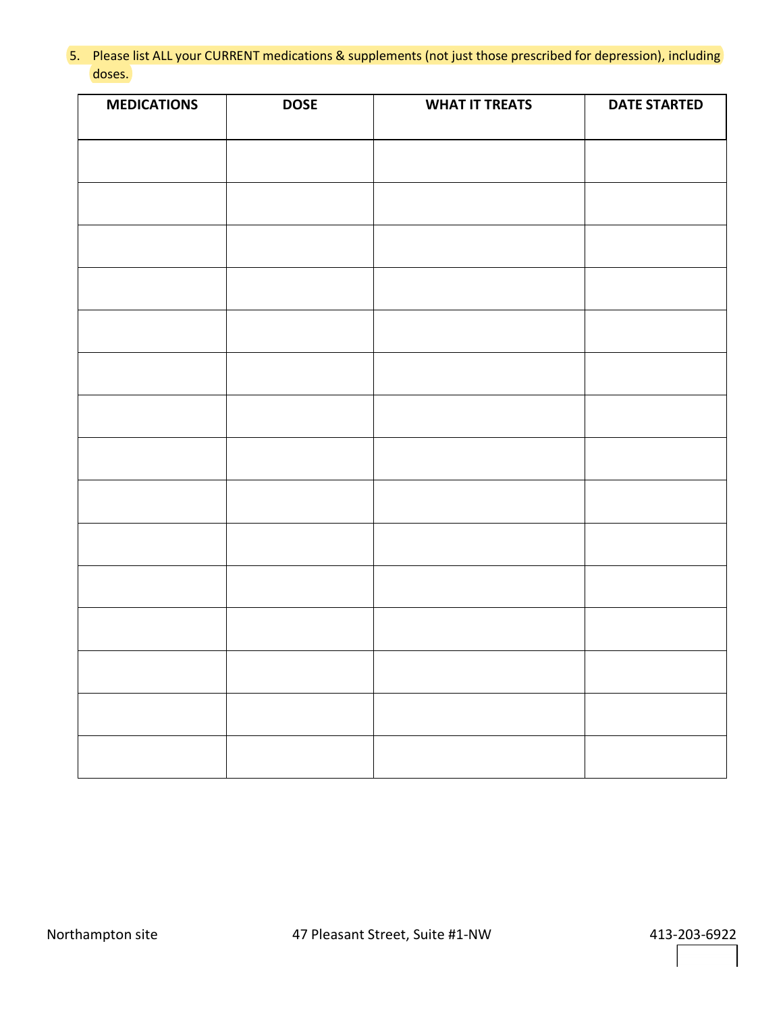5. Please list ALL your CURRENT medications & supplements (not just those prescribed for depression), including doses.

| <b>MEDICATIONS</b> | <b>DOSE</b> | <b>WHAT IT TREATS</b> | <b>DATE STARTED</b> |
|--------------------|-------------|-----------------------|---------------------|
|                    |             |                       |                     |
|                    |             |                       |                     |
|                    |             |                       |                     |
|                    |             |                       |                     |
|                    |             |                       |                     |
|                    |             |                       |                     |
|                    |             |                       |                     |
|                    |             |                       |                     |
|                    |             |                       |                     |
|                    |             |                       |                     |
|                    |             |                       |                     |
|                    |             |                       |                     |
|                    |             |                       |                     |
|                    |             |                       |                     |
|                    |             |                       |                     |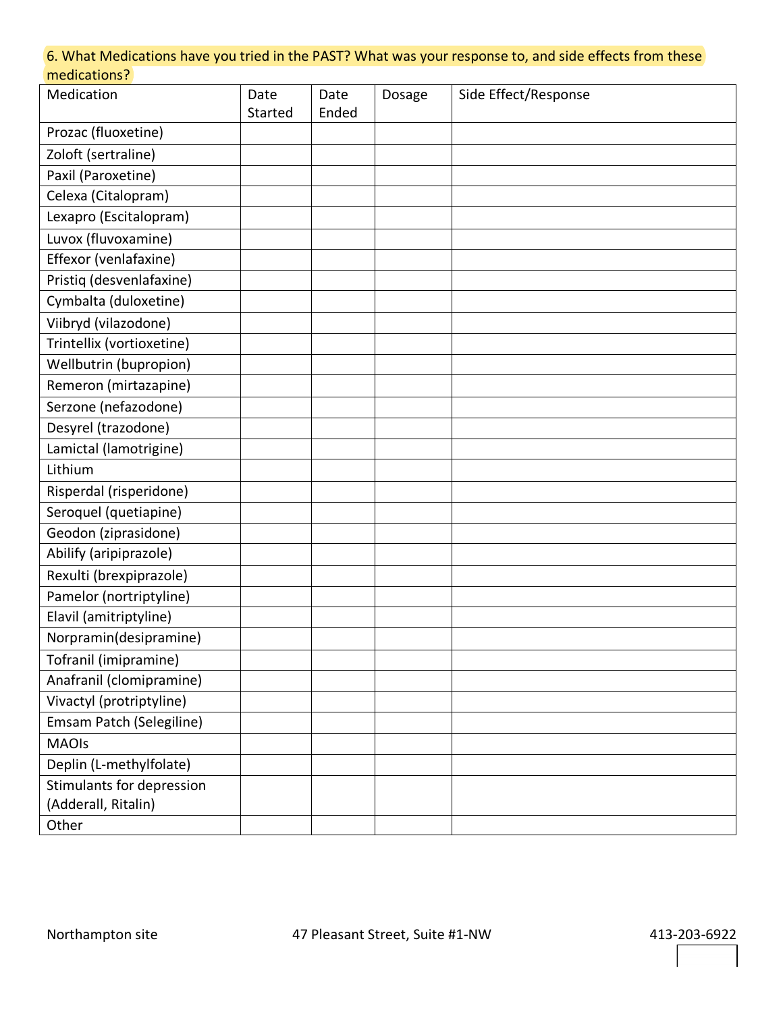#### 6. What Medications have you tried in the PAST? What was your response to, and side effects from these medications?

| Medication                | Date    | Date  | Dosage | Side Effect/Response |
|---------------------------|---------|-------|--------|----------------------|
|                           | Started | Ended |        |                      |
| Prozac (fluoxetine)       |         |       |        |                      |
| Zoloft (sertraline)       |         |       |        |                      |
| Paxil (Paroxetine)        |         |       |        |                      |
| Celexa (Citalopram)       |         |       |        |                      |
| Lexapro (Escitalopram)    |         |       |        |                      |
| Luvox (fluvoxamine)       |         |       |        |                      |
| Effexor (venlafaxine)     |         |       |        |                      |
| Pristiq (desvenlafaxine)  |         |       |        |                      |
| Cymbalta (duloxetine)     |         |       |        |                      |
| Viibryd (vilazodone)      |         |       |        |                      |
| Trintellix (vortioxetine) |         |       |        |                      |
| Wellbutrin (bupropion)    |         |       |        |                      |
| Remeron (mirtazapine)     |         |       |        |                      |
| Serzone (nefazodone)      |         |       |        |                      |
| Desyrel (trazodone)       |         |       |        |                      |
| Lamictal (lamotrigine)    |         |       |        |                      |
| Lithium                   |         |       |        |                      |
| Risperdal (risperidone)   |         |       |        |                      |
| Seroquel (quetiapine)     |         |       |        |                      |
| Geodon (ziprasidone)      |         |       |        |                      |
| Abilify (aripiprazole)    |         |       |        |                      |
| Rexulti (brexpiprazole)   |         |       |        |                      |
| Pamelor (nortriptyline)   |         |       |        |                      |
| Elavil (amitriptyline)    |         |       |        |                      |
| Norpramin(desipramine)    |         |       |        |                      |
| Tofranil (imipramine)     |         |       |        |                      |
| Anafranil (clomipramine)  |         |       |        |                      |
| Vivactyl (protriptyline)  |         |       |        |                      |
| Emsam Patch (Selegiline)  |         |       |        |                      |
| <b>MAOIs</b>              |         |       |        |                      |
| Deplin (L-methylfolate)   |         |       |        |                      |
| Stimulants for depression |         |       |        |                      |
| (Adderall, Ritalin)       |         |       |        |                      |
| Other                     |         |       |        |                      |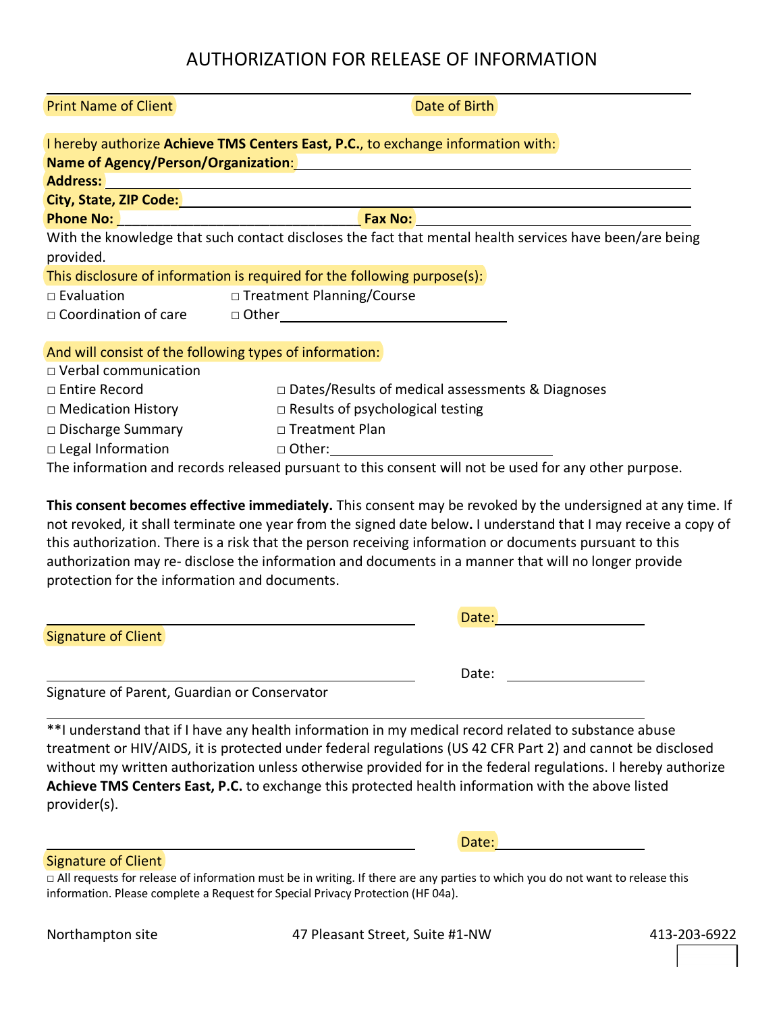| <b>Print Name of Client</b>                             | Date of Birth                                                                                                        |
|---------------------------------------------------------|----------------------------------------------------------------------------------------------------------------------|
|                                                         | I hereby authorize Achieve TMS Centers East, P.C., to exchange information with:                                     |
|                                                         | Name of Agency/Person/Organization: Name of Agency Person of Agency Persons and Agency Persons and Agency Per        |
|                                                         |                                                                                                                      |
|                                                         | City, State, ZIP Code: <u>2000 - 2000 - 2000 - 2000 - 2000 - 2000 - 2000 - 2000 - 2000 - 2000 - 2000 - 2000 - 20</u> |
|                                                         |                                                                                                                      |
|                                                         | With the knowledge that such contact discloses the fact that mental health services have been/are being              |
| provided.                                               |                                                                                                                      |
|                                                         | This disclosure of information is required for the following purpose(s):                                             |
| $\Box$ Evaluation                                       | □ Treatment Planning/Course                                                                                          |
|                                                         | $\Box$ $\Box$ $\Box$ $\Box$ $\Box$ $\Box$ $\Box$ $\Box$                                                              |
|                                                         |                                                                                                                      |
| And will consist of the following types of information: |                                                                                                                      |
| □ Verbal communication                                  |                                                                                                                      |
| □ Entire Record                                         | □ Dates/Results of medical assessments & Diagnoses                                                                   |
|                                                         | $\Box$ Medication History $\Box$ Results of psychological testing                                                    |
|                                                         | $\square$ Discharge Summary $\square$ Treatment Plan                                                                 |
|                                                         |                                                                                                                      |
|                                                         | The information and records released pursuant to this consent will not be used for any other purpose.                |
|                                                         |                                                                                                                      |
|                                                         | This consent becomes effective immediately. This consent may be revoked by the undersigned at any time. If           |
|                                                         | not revoked, it shall terminate one year from the signed date below. I understand that I may receive a copy of       |
|                                                         | this authorization. There is a risk that the person receiving information or documents pursuant to this              |

authorization may re- disclose the information and documents in a manner that will no longer provide protection for the information and documents.

|                            | Date: |
|----------------------------|-------|
| <b>Signature of Client</b> |       |
|                            | Date: |

Signature of Parent, Guardian or Conservator

\*\*I understand that if I have any health information in my medical record related to substance abuse treatment or HIV/AIDS, it is protected under federal regulations (US 42 CFR Part 2) and cannot be disclosed without my written authorization unless otherwise provided for in the federal regulations. I hereby authorize **Achieve TMS Centers East, P.C.** to exchange this protected health information with the above listed provider(s).

Signature of Client

□ All requests for release of information must be in writing. If there are any parties to which you do not want to release this information. Please complete a Request for Special Privacy Protection (HF 04a).

Northampton site **47 Pleasant Street, Suite #1-NW** 413-203-6922

Date: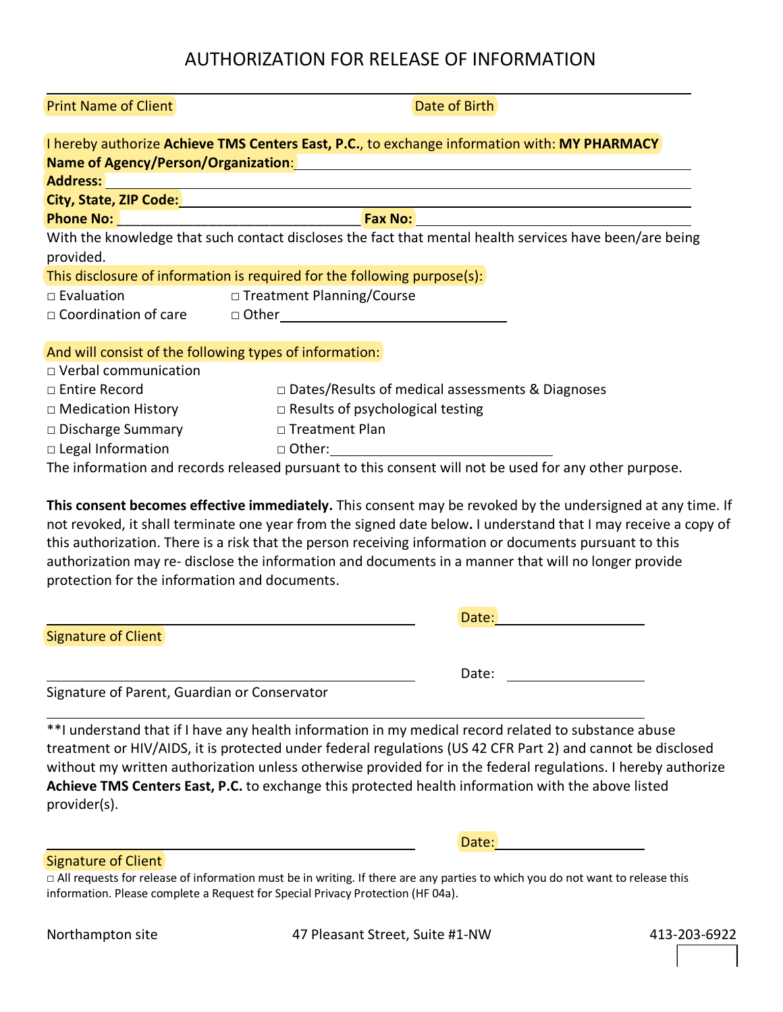|                        | I hereby authorize Achieve TMS Centers East, P.C., to exchange information with: MY PHARMACY                                                                                                                                             |
|------------------------|------------------------------------------------------------------------------------------------------------------------------------------------------------------------------------------------------------------------------------------|
|                        | Name of Agency/Person/Organization: Name of Agency/Person/Organization:                                                                                                                                                                  |
|                        | <b>Address:</b> <u>Address:</u> Address: Address: Address: Address: Address: Address: Address: Address: Address: Address: Address: Address: Address: Address: Address: Address: Address: Address: Address: Address: Address: Address: Ad |
|                        | City, State, ZIP Code: <u>Andrea Communication and Communication</u>                                                                                                                                                                     |
|                        |                                                                                                                                                                                                                                          |
|                        | With the knowledge that such contact discloses the fact that mental health services have been/are being                                                                                                                                  |
| provided.              |                                                                                                                                                                                                                                          |
|                        | This disclosure of information is required for the following purpose(s):                                                                                                                                                                 |
| $\square$ Evaluation   | □ Treatment Planning/Course                                                                                                                                                                                                              |
|                        |                                                                                                                                                                                                                                          |
|                        |                                                                                                                                                                                                                                          |
|                        | And will consist of the following types of information:                                                                                                                                                                                  |
| □ Verbal communication |                                                                                                                                                                                                                                          |
| □ Entire Record        | $\Box$ Dates/Results of medical assessments & Diagnoses                                                                                                                                                                                  |
| □ Medication History   | $\Box$ Results of psychological testing                                                                                                                                                                                                  |
| □ Discharge Summary    | □ Treatment Plan                                                                                                                                                                                                                         |
|                        | □ Legal Information and a Other: <u>and Other:</u> a Other:                                                                                                                                                                              |
|                        | The information and records released pursuant to this consent will not be used for any other purpose.                                                                                                                                    |
|                        |                                                                                                                                                                                                                                          |
|                        |                                                                                                                                                                                                                                          |

**This consent becomes effective immediately.** This consent may be revoked by the undersigned at any time. If not revoked, it shall terminate one year from the signed date below**.** I understand that I may receive a copy of this authorization. There is a risk that the person receiving information or documents pursuant to this authorization may re- disclose the information and documents in a manner that will no longer provide protection for the information and documents.

|                            | Date: |  |
|----------------------------|-------|--|
| <b>Signature of Client</b> |       |  |
|                            | Date: |  |

Signature of Parent, Guardian or Conservator

\*\*I understand that if I have any health information in my medical record related to substance abuse treatment or HIV/AIDS, it is protected under federal regulations (US 42 CFR Part 2) and cannot be disclosed without my written authorization unless otherwise provided for in the federal regulations. I hereby authorize **Achieve TMS Centers East, P.C.** to exchange this protected health information with the above listed provider(s).

Signature of Client

□ All requests for release of information must be in writing. If there are any parties to which you do not want to release this information. Please complete a Request for Special Privacy Protection (HF 04a).

Northampton site **47 Pleasant Street, Suite #1-NW** 413-203-6922

Date:

**Print Name of Client Community Community Community Community Community Community Community Community Community**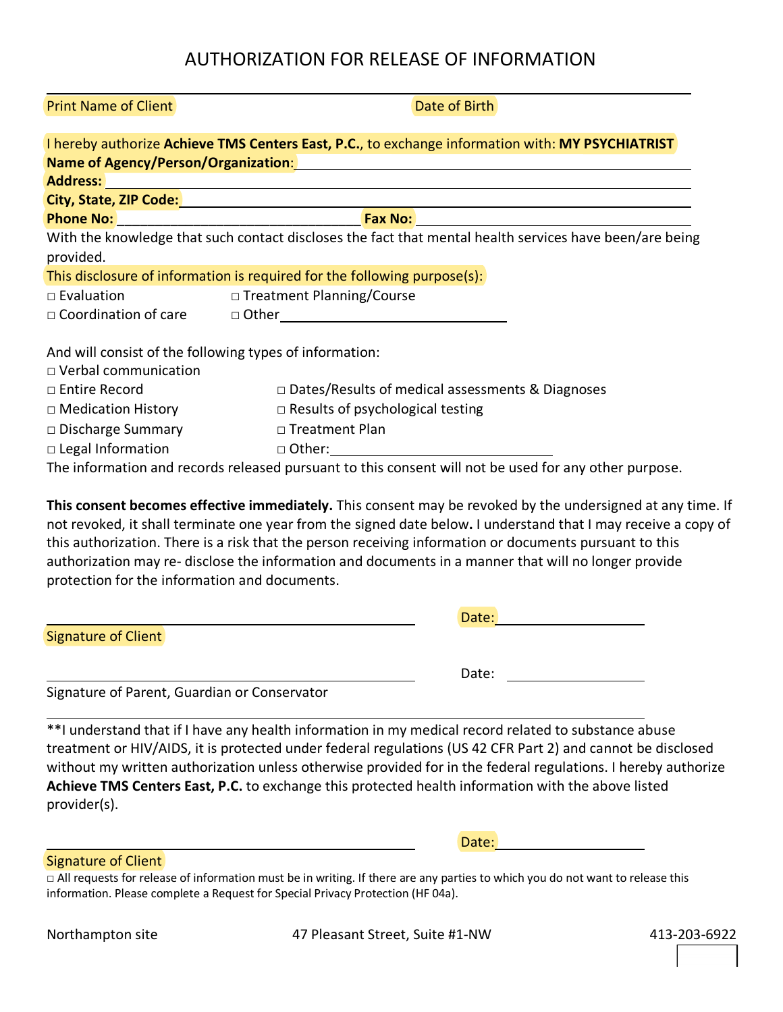|                                                                                        | I hereby authorize Achieve TMS Centers East, P.C., to exchange information with: MY PSYCHIATRIST<br>Name of Agency/Person/Organization: Manual Community of Agency/Person/Organization: |
|----------------------------------------------------------------------------------------|-----------------------------------------------------------------------------------------------------------------------------------------------------------------------------------------|
|                                                                                        |                                                                                                                                                                                         |
|                                                                                        | City, State, ZIP Code: Manual According to the City, State, ZIP Code:                                                                                                                   |
|                                                                                        |                                                                                                                                                                                         |
| provided.                                                                              | With the knowledge that such contact discloses the fact that mental health services have been/are being                                                                                 |
|                                                                                        | This disclosure of information is required for the following purpose(s):                                                                                                                |
| $\Box$ Evaluation                                                                      | □ Treatment Planning/Course                                                                                                                                                             |
|                                                                                        |                                                                                                                                                                                         |
| And will consist of the following types of information:<br>$\Box$ Verbal communication |                                                                                                                                                                                         |
| □ Entire Record                                                                        | $\Box$ Dates/Results of medical assessments & Diagnoses                                                                                                                                 |
| $\Box$ Medication History                                                              | $\Box$ Results of psychological testing                                                                                                                                                 |
| $\Box$ Discharge Summary                                                               | □ Treatment Plan                                                                                                                                                                        |
| $\Box$ Legal Information                                                               |                                                                                                                                                                                         |
|                                                                                        | The information and records released pursuant to this consent will not be used for any other purpose.                                                                                   |

**This consent becomes effective immediately.** This consent may be revoked by the undersigned at any time. If not revoked, it shall terminate one year from the signed date below**.** I understand that I may receive a copy of this authorization. There is a risk that the person receiving information or documents pursuant to this authorization may re- disclose the information and documents in a manner that will no longer provide protection for the information and documents.

|                            | Date: |  |
|----------------------------|-------|--|
| <b>Signature of Client</b> |       |  |
|                            |       |  |
|                            | Date: |  |

Signature of Parent, Guardian or Conservator

\*\*I understand that if I have any health information in my medical record related to substance abuse treatment or HIV/AIDS, it is protected under federal regulations (US 42 CFR Part 2) and cannot be disclosed without my written authorization unless otherwise provided for in the federal regulations. I hereby authorize **Achieve TMS Centers East, P.C.** to exchange this protected health information with the above listed provider(s).

Signature of Client

□ All requests for release of information must be in writing. If there are any parties to which you do not want to release this information. Please complete a Request for Special Privacy Protection (HF 04a).

Northampton site **47 Pleasant Street, Suite #1-NW** 413-203-6922

Date:

Print Name of Client Date of Birth Date of Birth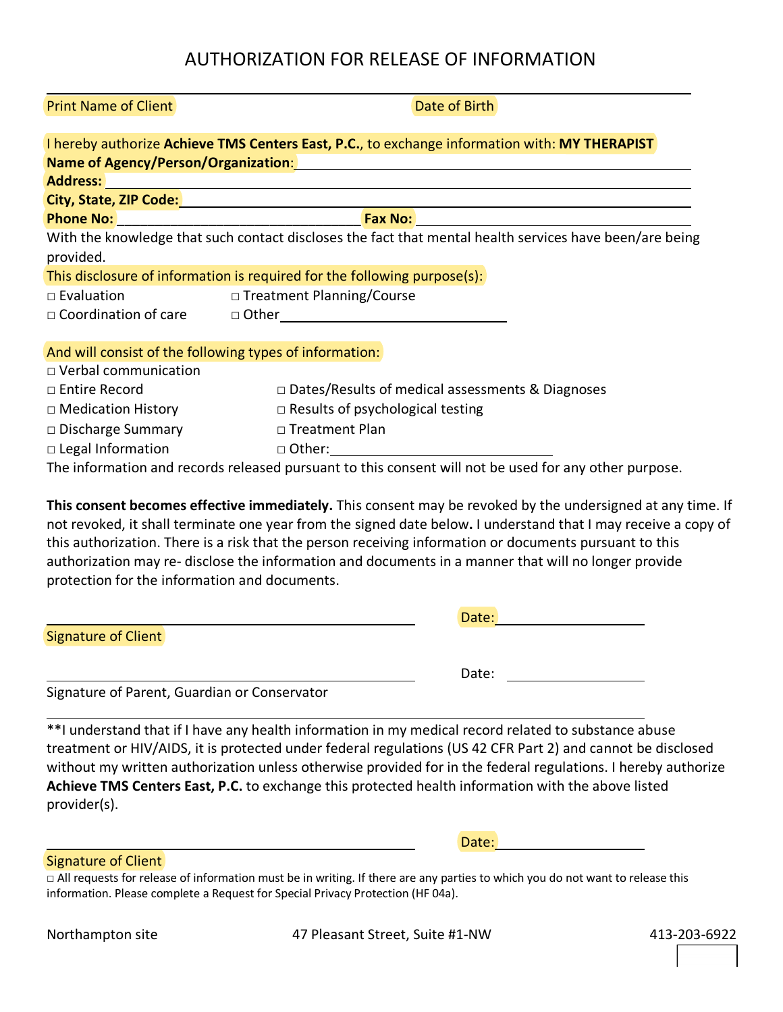| <b>THILBURGHIL OF CHEFFE</b> | ווט ווכ עו סוג                                                                                                                                                                                                                      |
|------------------------------|-------------------------------------------------------------------------------------------------------------------------------------------------------------------------------------------------------------------------------------|
|                              |                                                                                                                                                                                                                                     |
|                              | I hereby authorize Achieve TMS Centers East, P.C., to exchange information with: MY THERAPIST                                                                                                                                       |
|                              | Name of Agency/Person/Organization: Manual Community of Agency/Person/Organization:                                                                                                                                                 |
|                              | Address: Address: Address: Address: Address: Address: Address: Address: Address: Address: Address: A                                                                                                                                |
|                              |                                                                                                                                                                                                                                     |
|                              |                                                                                                                                                                                                                                     |
|                              | With the knowledge that such contact discloses the fact that mental health services have been/are being                                                                                                                             |
| provided.                    |                                                                                                                                                                                                                                     |
|                              | This disclosure of information is required for the following purpose(s):                                                                                                                                                            |
| $\square$ Evaluation         | □ Treatment Planning/Course                                                                                                                                                                                                         |
|                              | $\Box$ $\Box$ $\Box$ $\Box$ $\Box$ $\Box$ $\Box$ $\Box$                                                                                                                                                                             |
|                              |                                                                                                                                                                                                                                     |
|                              | And will consist of the following types of information:                                                                                                                                                                             |
| $\Box$ Verbal communication  |                                                                                                                                                                                                                                     |
| □ Entire Record              | $\Box$ Dates/Results of medical assessments & Diagnoses                                                                                                                                                                             |
| $\Box$ Medication History    | $\Box$ Results of psychological testing                                                                                                                                                                                             |
|                              | □ Discharge Summary DTreatment Plan                                                                                                                                                                                                 |
|                              | □ Legal Information and a Other: <u>Alexander State of Alexander State of Alexander State of Alexander State of Alexander State of Alexander State of Alexander State of Alexander State of Alexander State of Alexander State </u> |
|                              | The information and records released pursuant to this consent will not be used for any other purpose.                                                                                                                               |
|                              |                                                                                                                                                                                                                                     |
|                              |                                                                                                                                                                                                                                     |

**This consent becomes effective immediately.** This consent may be revoked by the undersigned at any time. If not revoked, it shall terminate one year from the signed date below**.** I understand that I may receive a copy of this authorization. There is a risk that the person receiving information or documents pursuant to this authorization may re- disclose the information and documents in a manner that will no longer provide protection for the information and documents.

|                            | Date: |
|----------------------------|-------|
| <b>Signature of Client</b> |       |
|                            | Date: |

Signature of Parent, Guardian or Conservator

\*\*I understand that if I have any health information in my medical record related to substance abuse treatment or HIV/AIDS, it is protected under federal regulations (US 42 CFR Part 2) and cannot be disclosed without my written authorization unless otherwise provided for in the federal regulations. I hereby authorize **Achieve TMS Centers East, P.C.** to exchange this protected health information with the above listed provider(s).

Signature of Client

□ All requests for release of information must be in writing. If there are any parties to which you do not want to release this information. Please complete a Request for Special Privacy Protection (HF 04a).

Northampton site **47 Pleasant Street, Suite #1-NW** 413-203-6922

Date:

**Print Name of Client Community Community Community Community Community Community Community Community Community**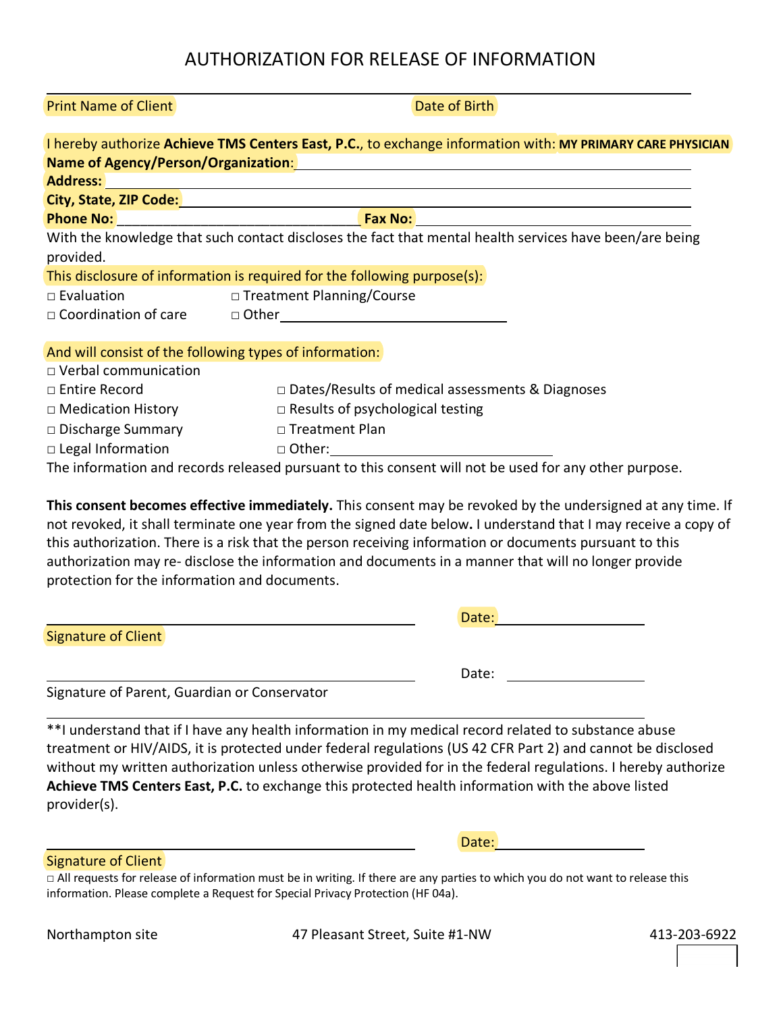| <b>Print Name of Client</b> |  |
|-----------------------------|--|
|-----------------------------|--|

|                                                         | I hereby authorize Achieve TMS Centers East, P.C., to exchange information with: MY PRIMARY CARE PHYSICIAN                                                                                                                    |
|---------------------------------------------------------|-------------------------------------------------------------------------------------------------------------------------------------------------------------------------------------------------------------------------------|
|                                                         | Name of Agency/Person/Organization: Manual Community of Agency/Person/Organization:                                                                                                                                           |
|                                                         |                                                                                                                                                                                                                               |
|                                                         |                                                                                                                                                                                                                               |
|                                                         |                                                                                                                                                                                                                               |
|                                                         | With the knowledge that such contact discloses the fact that mental health services have been/are being                                                                                                                       |
| provided.                                               |                                                                                                                                                                                                                               |
|                                                         | This disclosure of information is required for the following purpose(s):                                                                                                                                                      |
| $\Box$ Evaluation                                       | □ Treatment Planning/Course                                                                                                                                                                                                   |
|                                                         | □ Coordination of care □ Other □                                                                                                                                                                                              |
|                                                         |                                                                                                                                                                                                                               |
| And will consist of the following types of information: |                                                                                                                                                                                                                               |
| $\Box$ Verbal communication                             |                                                                                                                                                                                                                               |
| □ Entire Record                                         | □ Dates/Results of medical assessments & Diagnoses                                                                                                                                                                            |
| $\Box$ Medication History                               | $\Box$ Results of psychological testing                                                                                                                                                                                       |
| □ Discharge Summary<br>□ Treatment Plan                 |                                                                                                                                                                                                                               |
|                                                         | □ Legal Information and a complete of the contract of the contract of the contract of the contract of the contract of the contract of the contract of the contract of the contract of the contract of the contract of the con |
|                                                         | The information and records released pursuant to this consent will not be used for any other purpose.                                                                                                                         |
|                                                         |                                                                                                                                                                                                                               |

**This consent becomes effective immediately.** This consent may be revoked by the undersigned at any time. If not revoked, it shall terminate one year from the signed date below**.** I understand that I may receive a copy of this authorization. There is a risk that the person receiving information or documents pursuant to this authorization may re- disclose the information and documents in a manner that will no longer provide protection for the information and documents.

|                            | Date: |
|----------------------------|-------|
| <b>Signature of Client</b> |       |
|                            |       |
|                            | Date: |

Signature of Parent, Guardian or Conservator

\*\*I understand that if I have any health information in my medical record related to substance abuse treatment or HIV/AIDS, it is protected under federal regulations (US 42 CFR Part 2) and cannot be disclosed without my written authorization unless otherwise provided for in the federal regulations. I hereby authorize **Achieve TMS Centers East, P.C.** to exchange this protected health information with the above listed provider(s).

Signature of Client

□ All requests for release of information must be in writing. If there are any parties to which you do not want to release this information. Please complete a Request for Special Privacy Protection (HF 04a).

Northampton site **47 Pleasant Street, Suite #1-NW** 413-203-6922

Date:

Date of Birth